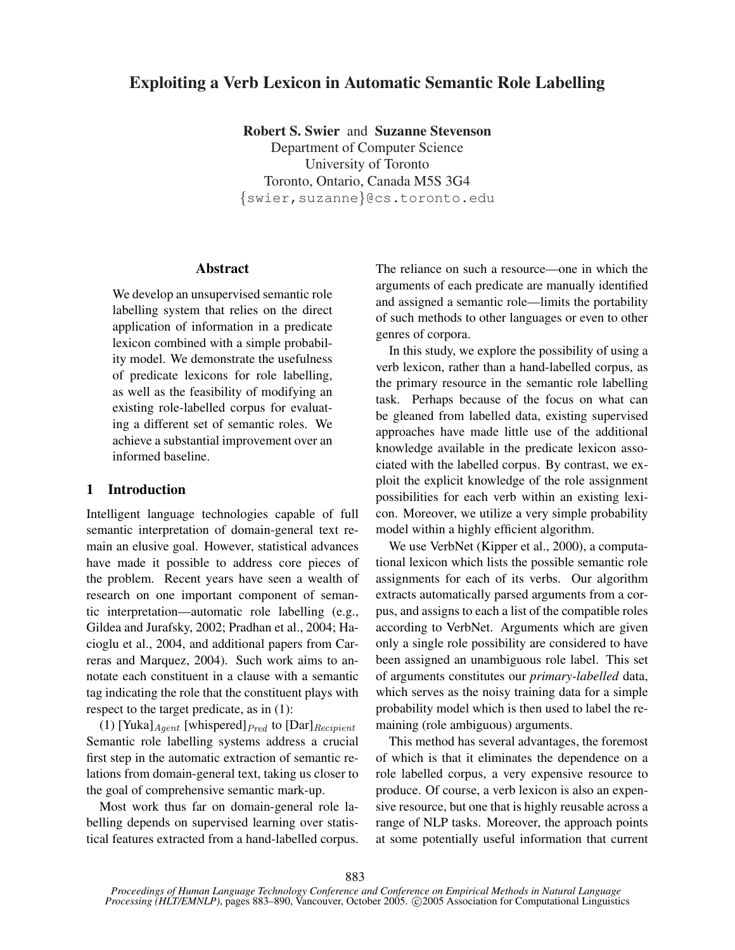# Exploiting a Verb Lexicon in Automatic Semantic Role Labelling

Robert S. Swier and Suzanne Stevenson

Department of Computer Science University of Toronto Toronto, Ontario, Canada M5S 3G4 {swier,suzanne}@cs.toronto.edu

#### Abstract

We develop an unsupervised semantic role labelling system that relies on the direct application of information in a predicate lexicon combined with a simple probability model. We demonstrate the usefulness of predicate lexicons for role labelling, as well as the feasibility of modifying an existing role-labelled corpus for evaluating a different set of semantic roles. We achieve a substantial improvement over an informed baseline.

## 1 Introduction

Intelligent language technologies capable of full semantic interpretation of domain-general text remain an elusive goal. However, statistical advances have made it possible to address core pieces of the problem. Recent years have seen a wealth of research on one important component of semantic interpretation—automatic role labelling (e.g., Gildea and Jurafsky, 2002; Pradhan et al., 2004; Hacioglu et al., 2004, and additional papers from Carreras and Marquez, 2004). Such work aims to annotate each constituent in a clause with a semantic tag indicating the role that the constituent plays with respect to the target predicate, as in (1):

(1) [Yuka] $_{Agent}$  [whispered] $_{Pred}$  to [Dar] $_{Recipient}$ Semantic role labelling systems address a crucial first step in the automatic extraction of semantic relations from domain-general text, taking us closer to the goal of comprehensive semantic mark-up.

Most work thus far on domain-general role labelling depends on supervised learning over statistical features extracted from a hand-labelled corpus. The reliance on such a resource—one in which the arguments of each predicate are manually identified and assigned a semantic role—limits the portability of such methods to other languages or even to other genres of corpora.

In this study, we explore the possibility of using a verb lexicon, rather than a hand-labelled corpus, as the primary resource in the semantic role labelling task. Perhaps because of the focus on what can be gleaned from labelled data, existing supervised approaches have made little use of the additional knowledge available in the predicate lexicon associated with the labelled corpus. By contrast, we exploit the explicit knowledge of the role assignment possibilities for each verb within an existing lexicon. Moreover, we utilize a very simple probability model within a highly efficient algorithm.

We use VerbNet (Kipper et al., 2000), a computational lexicon which lists the possible semantic role assignments for each of its verbs. Our algorithm extracts automatically parsed arguments from a corpus, and assigns to each a list of the compatible roles according to VerbNet. Arguments which are given only a single role possibility are considered to have been assigned an unambiguous role label. This set of arguments constitutes our *primary-labelled* data, which serves as the noisy training data for a simple probability model which is then used to label the remaining (role ambiguous) arguments.

This method has several advantages, the foremost of which is that it eliminates the dependence on a role labelled corpus, a very expensive resource to produce. Of course, a verb lexicon is also an expensive resource, but one that is highly reusable across a range of NLP tasks. Moreover, the approach points at some potentially useful information that current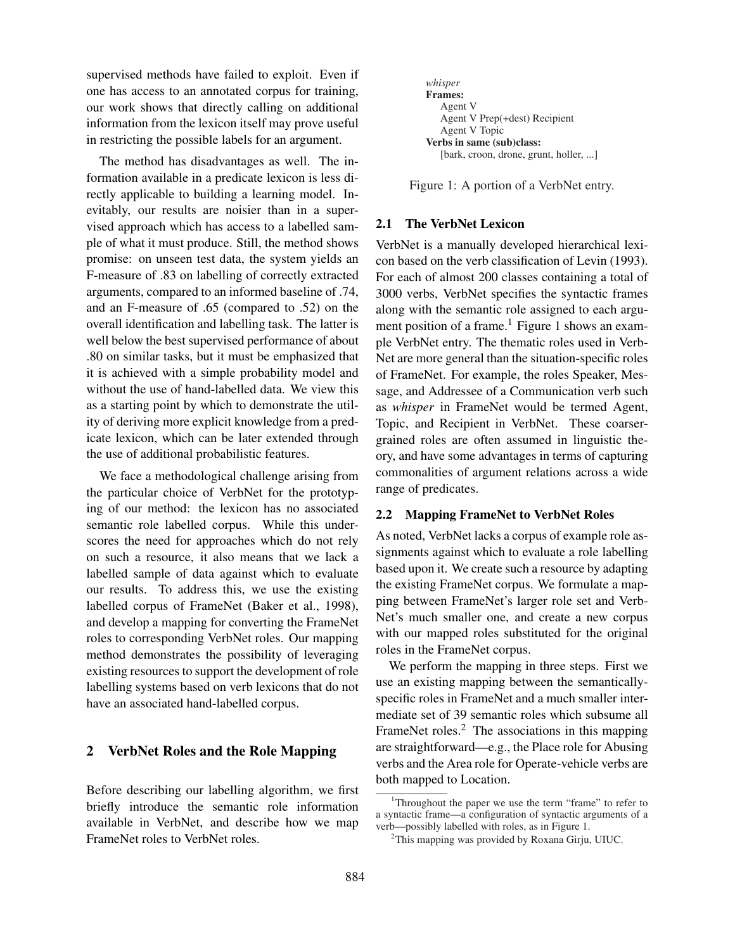supervised methods have failed to exploit. Even if one has access to an annotated corpus for training, our work shows that directly calling on additional information from the lexicon itself may prove useful in restricting the possible labels for an argument.

The method has disadvantages as well. The information available in a predicate lexicon is less directly applicable to building a learning model. Inevitably, our results are noisier than in a supervised approach which has access to a labelled sample of what it must produce. Still, the method shows promise: on unseen test data, the system yields an F-measure of .83 on labelling of correctly extracted arguments, compared to an informed baseline of .74, and an F-measure of .65 (compared to .52) on the overall identification and labelling task. The latter is well below the best supervised performance of about .80 on similar tasks, but it must be emphasized that it is achieved with a simple probability model and without the use of hand-labelled data. We view this as a starting point by which to demonstrate the utility of deriving more explicit knowledge from a predicate lexicon, which can be later extended through the use of additional probabilistic features.

We face a methodological challenge arising from the particular choice of VerbNet for the prototyping of our method: the lexicon has no associated semantic role labelled corpus. While this underscores the need for approaches which do not rely on such a resource, it also means that we lack a labelled sample of data against which to evaluate our results. To address this, we use the existing labelled corpus of FrameNet (Baker et al., 1998), and develop a mapping for converting the FrameNet roles to corresponding VerbNet roles. Our mapping method demonstrates the possibility of leveraging existing resources to support the development of role labelling systems based on verb lexicons that do not have an associated hand-labelled corpus.

## 2 VerbNet Roles and the Role Mapping

Before describing our labelling algorithm, we first briefly introduce the semantic role information available in VerbNet, and describe how we map FrameNet roles to VerbNet roles.



Figure 1: A portion of a VerbNet entry.

## 2.1 The VerbNet Lexicon

VerbNet is a manually developed hierarchical lexicon based on the verb classification of Levin (1993). For each of almost 200 classes containing a total of 3000 verbs, VerbNet specifies the syntactic frames along with the semantic role assigned to each argument position of a frame.<sup>1</sup> Figure 1 shows an example VerbNet entry. The thematic roles used in Verb-Net are more general than the situation-specific roles of FrameNet. For example, the roles Speaker, Message, and Addressee of a Communication verb such as *whisper* in FrameNet would be termed Agent, Topic, and Recipient in VerbNet. These coarsergrained roles are often assumed in linguistic theory, and have some advantages in terms of capturing commonalities of argument relations across a wide range of predicates.

## 2.2 Mapping FrameNet to VerbNet Roles

As noted, VerbNet lacks a corpus of example role assignments against which to evaluate a role labelling based upon it. We create such a resource by adapting the existing FrameNet corpus. We formulate a mapping between FrameNet's larger role set and Verb-Net's much smaller one, and create a new corpus with our mapped roles substituted for the original roles in the FrameNet corpus.

We perform the mapping in three steps. First we use an existing mapping between the semanticallyspecific roles in FrameNet and a much smaller intermediate set of 39 semantic roles which subsume all FrameNet roles.<sup>2</sup> The associations in this mapping are straightforward—e.g., the Place role for Abusing verbs and the Area role for Operate-vehicle verbs are both mapped to Location.

<sup>&</sup>lt;sup>1</sup>Throughout the paper we use the term "frame" to refer to a syntactic frame—a configuration of syntactic arguments of a verb—possibly labelled with roles, as in Figure 1.

 $2$ This mapping was provided by Roxana Girju, UIUC.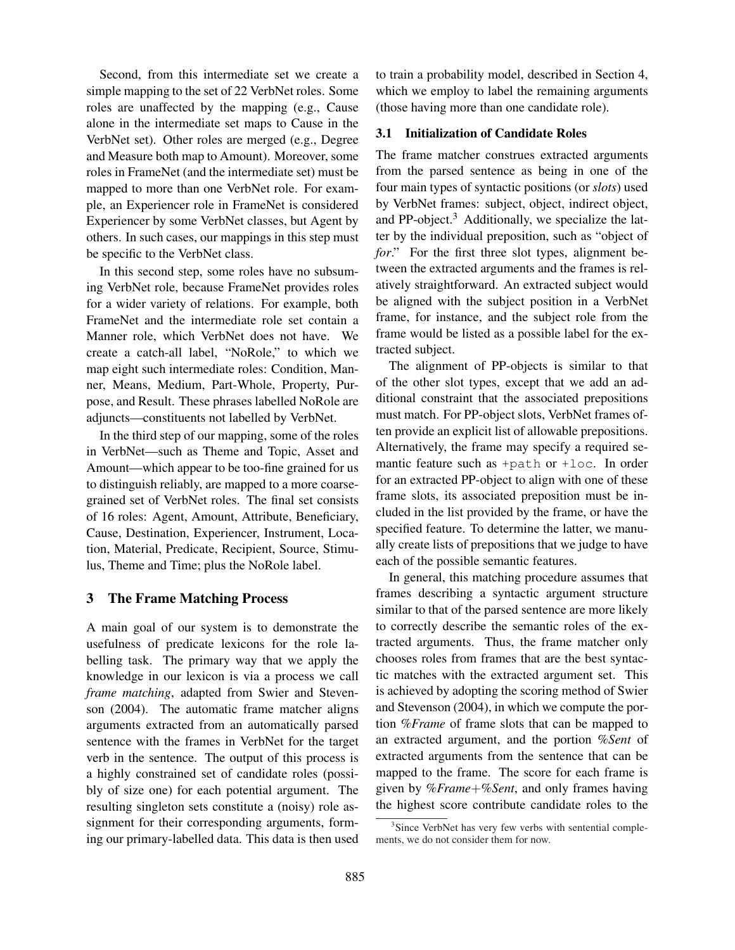Second, from this intermediate set we create a simple mapping to the set of 22 VerbNet roles. Some roles are unaffected by the mapping (e.g., Cause alone in the intermediate set maps to Cause in the VerbNet set). Other roles are merged (e.g., Degree and Measure both map to Amount). Moreover, some roles in FrameNet (and the intermediate set) must be mapped to more than one VerbNet role. For example, an Experiencer role in FrameNet is considered Experiencer by some VerbNet classes, but Agent by others. In such cases, our mappings in this step must be specific to the VerbNet class.

In this second step, some roles have no subsuming VerbNet role, because FrameNet provides roles for a wider variety of relations. For example, both FrameNet and the intermediate role set contain a Manner role, which VerbNet does not have. We create a catch-all label, "NoRole," to which we map eight such intermediate roles: Condition, Manner, Means, Medium, Part-Whole, Property, Purpose, and Result. These phrases labelled NoRole are adjuncts—constituents not labelled by VerbNet.

In the third step of our mapping, some of the roles in VerbNet—such as Theme and Topic, Asset and Amount—which appear to be too-fine grained for us to distinguish reliably, are mapped to a more coarsegrained set of VerbNet roles. The final set consists of 16 roles: Agent, Amount, Attribute, Beneficiary, Cause, Destination, Experiencer, Instrument, Location, Material, Predicate, Recipient, Source, Stimulus, Theme and Time; plus the NoRole label.

## 3 The Frame Matching Process

A main goal of our system is to demonstrate the usefulness of predicate lexicons for the role labelling task. The primary way that we apply the knowledge in our lexicon is via a process we call *frame matching*, adapted from Swier and Stevenson (2004). The automatic frame matcher aligns arguments extracted from an automatically parsed sentence with the frames in VerbNet for the target verb in the sentence. The output of this process is a highly constrained set of candidate roles (possibly of size one) for each potential argument. The resulting singleton sets constitute a (noisy) role assignment for their corresponding arguments, forming our primary-labelled data. This data is then used

to train a probability model, described in Section 4, which we employ to label the remaining arguments (those having more than one candidate role).

#### 3.1 Initialization of Candidate Roles

The frame matcher construes extracted arguments from the parsed sentence as being in one of the four main types of syntactic positions (or *slots*) used by VerbNet frames: subject, object, indirect object, and PP-object. $3$  Additionally, we specialize the latter by the individual preposition, such as "object of *for*." For the first three slot types, alignment between the extracted arguments and the frames is relatively straightforward. An extracted subject would be aligned with the subject position in a VerbNet frame, for instance, and the subject role from the frame would be listed as a possible label for the extracted subject.

The alignment of PP-objects is similar to that of the other slot types, except that we add an additional constraint that the associated prepositions must match. For PP-object slots, VerbNet frames often provide an explicit list of allowable prepositions. Alternatively, the frame may specify a required semantic feature such as +path or +loc. In order for an extracted PP-object to align with one of these frame slots, its associated preposition must be included in the list provided by the frame, or have the specified feature. To determine the latter, we manually create lists of prepositions that we judge to have each of the possible semantic features.

In general, this matching procedure assumes that frames describing a syntactic argument structure similar to that of the parsed sentence are more likely to correctly describe the semantic roles of the extracted arguments. Thus, the frame matcher only chooses roles from frames that are the best syntactic matches with the extracted argument set. This is achieved by adopting the scoring method of Swier and Stevenson (2004), in which we compute the portion *%Frame* of frame slots that can be mapped to an extracted argument, and the portion *%Sent* of extracted arguments from the sentence that can be mapped to the frame. The score for each frame is given by *%Frame*+*%Sent*, and only frames having the highest score contribute candidate roles to the

<sup>&</sup>lt;sup>3</sup>Since VerbNet has very few verbs with sentential complements, we do not consider them for now.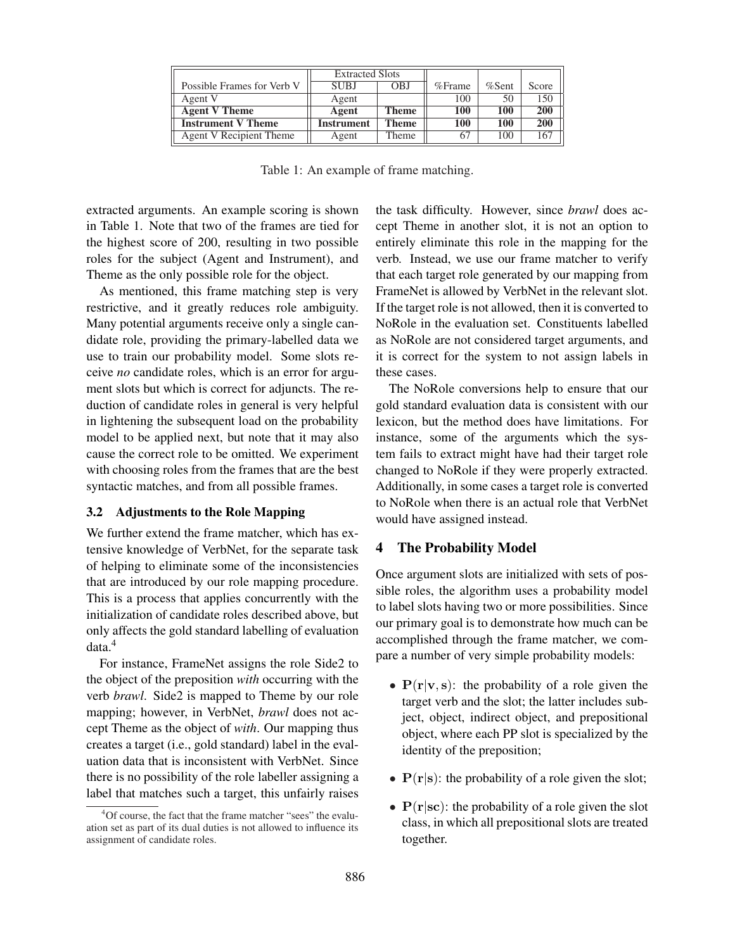|                            | <b>Extracted Slots</b> |       |           |          |            |
|----------------------------|------------------------|-------|-----------|----------|------------|
| Possible Frames for Verb V | <b>SUBJ</b>            | OBJ   | $%$ Frame | $%$ Sent | Score      |
| Agent V                    | Agent                  |       | 100       | 50       | 150        |
| <b>Agent V Theme</b>       | Agent                  | Theme | 100       | 100      | <b>200</b> |
| <b>Instrument V Theme</b>  | Instrument             | Theme | 100       | 100      | <b>200</b> |
| Agent V Recipient Theme    | Agent                  | Theme | 67        | 100      | 167        |

Table 1: An example of frame matching.

extracted arguments. An example scoring is shown in Table 1. Note that two of the frames are tied for the highest score of 200, resulting in two possible roles for the subject (Agent and Instrument), and Theme as the only possible role for the object.

As mentioned, this frame matching step is very restrictive, and it greatly reduces role ambiguity. Many potential arguments receive only a single candidate role, providing the primary-labelled data we use to train our probability model. Some slots receive *no* candidate roles, which is an error for argument slots but which is correct for adjuncts. The reduction of candidate roles in general is very helpful in lightening the subsequent load on the probability model to be applied next, but note that it may also cause the correct role to be omitted. We experiment with choosing roles from the frames that are the best syntactic matches, and from all possible frames.

#### 3.2 Adjustments to the Role Mapping

We further extend the frame matcher, which has extensive knowledge of VerbNet, for the separate task of helping to eliminate some of the inconsistencies that are introduced by our role mapping procedure. This is a process that applies concurrently with the initialization of candidate roles described above, but only affects the gold standard labelling of evaluation data.<sup>4</sup>

For instance, FrameNet assigns the role Side2 to the object of the preposition *with* occurring with the verb *brawl*. Side2 is mapped to Theme by our role mapping; however, in VerbNet, *brawl* does not accept Theme as the object of *with*. Our mapping thus creates a target (i.e., gold standard) label in the evaluation data that is inconsistent with VerbNet. Since there is no possibility of the role labeller assigning a label that matches such a target, this unfairly raises the task difficulty. However, since *brawl* does accept Theme in another slot, it is not an option to entirely eliminate this role in the mapping for the verb. Instead, we use our frame matcher to verify that each target role generated by our mapping from FrameNet is allowed by VerbNet in the relevant slot. If the target role is not allowed, then it is converted to NoRole in the evaluation set. Constituents labelled as NoRole are not considered target arguments, and it is correct for the system to not assign labels in these cases.

The NoRole conversions help to ensure that our gold standard evaluation data is consistent with our lexicon, but the method does have limitations. For instance, some of the arguments which the system fails to extract might have had their target role changed to NoRole if they were properly extracted. Additionally, in some cases a target role is converted to NoRole when there is an actual role that VerbNet would have assigned instead.

### 4 The Probability Model

Once argument slots are initialized with sets of possible roles, the algorithm uses a probability model to label slots having two or more possibilities. Since our primary goal is to demonstrate how much can be accomplished through the frame matcher, we compare a number of very simple probability models:

- $P(r|v,s)$ : the probability of a role given the target verb and the slot; the latter includes subject, object, indirect object, and prepositional object, where each PP slot is specialized by the identity of the preposition;
- $P(r|s)$ : the probability of a role given the slot;
- $P(r|sc)$ : the probability of a role given the slot class, in which all prepositional slots are treated together.

<sup>&</sup>lt;sup>4</sup>Of course, the fact that the frame matcher "sees" the evaluation set as part of its dual duties is not allowed to influence its assignment of candidate roles.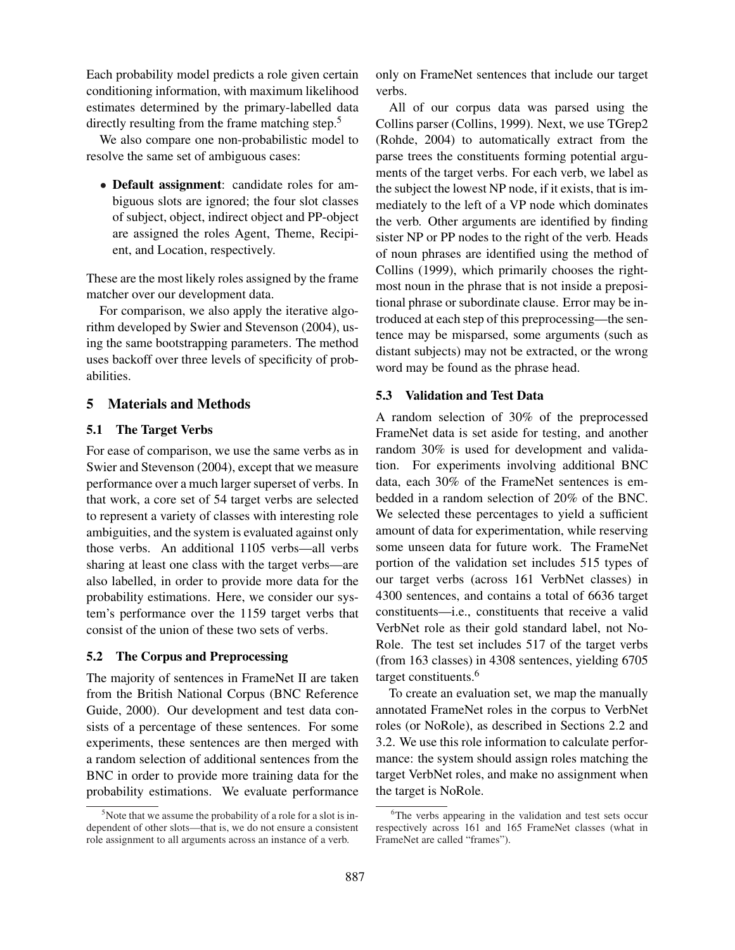Each probability model predicts a role given certain conditioning information, with maximum likelihood estimates determined by the primary-labelled data directly resulting from the frame matching step.<sup>5</sup>

We also compare one non-probabilistic model to resolve the same set of ambiguous cases:

• Default assignment: candidate roles for ambiguous slots are ignored; the four slot classes of subject, object, indirect object and PP-object are assigned the roles Agent, Theme, Recipient, and Location, respectively.

These are the most likely roles assigned by the frame matcher over our development data.

For comparison, we also apply the iterative algorithm developed by Swier and Stevenson (2004), using the same bootstrapping parameters. The method uses backoff over three levels of specificity of probabilities.

## 5 Materials and Methods

### 5.1 The Target Verbs

For ease of comparison, we use the same verbs as in Swier and Stevenson (2004), except that we measure performance over a much larger superset of verbs. In that work, a core set of 54 target verbs are selected to represent a variety of classes with interesting role ambiguities, and the system is evaluated against only those verbs. An additional 1105 verbs—all verbs sharing at least one class with the target verbs—are also labelled, in order to provide more data for the probability estimations. Here, we consider our system's performance over the 1159 target verbs that consist of the union of these two sets of verbs.

## 5.2 The Corpus and Preprocessing

The majority of sentences in FrameNet II are taken from the British National Corpus (BNC Reference Guide, 2000). Our development and test data consists of a percentage of these sentences. For some experiments, these sentences are then merged with a random selection of additional sentences from the BNC in order to provide more training data for the probability estimations. We evaluate performance

only on FrameNet sentences that include our target verbs.

All of our corpus data was parsed using the Collins parser (Collins, 1999). Next, we use TGrep2 (Rohde, 2004) to automatically extract from the parse trees the constituents forming potential arguments of the target verbs. For each verb, we label as the subject the lowest NP node, if it exists, that is immediately to the left of a VP node which dominates the verb. Other arguments are identified by finding sister NP or PP nodes to the right of the verb. Heads of noun phrases are identified using the method of Collins (1999), which primarily chooses the rightmost noun in the phrase that is not inside a prepositional phrase or subordinate clause. Error may be introduced at each step of this preprocessing—the sentence may be misparsed, some arguments (such as distant subjects) may not be extracted, or the wrong word may be found as the phrase head.

#### 5.3 Validation and Test Data

A random selection of 30% of the preprocessed FrameNet data is set aside for testing, and another random 30% is used for development and validation. For experiments involving additional BNC data, each 30% of the FrameNet sentences is embedded in a random selection of 20% of the BNC. We selected these percentages to yield a sufficient amount of data for experimentation, while reserving some unseen data for future work. The FrameNet portion of the validation set includes 515 types of our target verbs (across 161 VerbNet classes) in 4300 sentences, and contains a total of 6636 target constituents—i.e., constituents that receive a valid VerbNet role as their gold standard label, not No-Role. The test set includes 517 of the target verbs (from 163 classes) in 4308 sentences, yielding 6705 target constituents.<sup>6</sup>

To create an evaluation set, we map the manually annotated FrameNet roles in the corpus to VerbNet roles (or NoRole), as described in Sections 2.2 and 3.2. We use this role information to calculate performance: the system should assign roles matching the target VerbNet roles, and make no assignment when the target is NoRole.

 $5$ Note that we assume the probability of a role for a slot is independent of other slots—that is, we do not ensure a consistent role assignment to all arguments across an instance of a verb.

<sup>&</sup>lt;sup>6</sup>The verbs appearing in the validation and test sets occur respectively across 161 and 165 FrameNet classes (what in FrameNet are called "frames").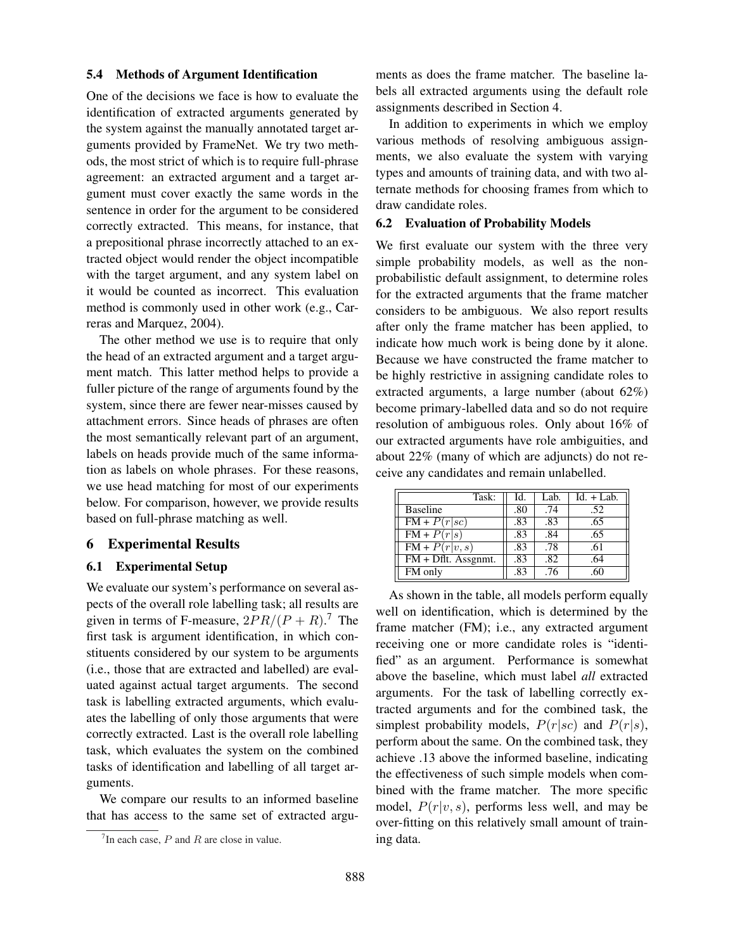#### 5.4 Methods of Argument Identification

One of the decisions we face is how to evaluate the identification of extracted arguments generated by the system against the manually annotated target arguments provided by FrameNet. We try two methods, the most strict of which is to require full-phrase agreement: an extracted argument and a target argument must cover exactly the same words in the sentence in order for the argument to be considered correctly extracted. This means, for instance, that a prepositional phrase incorrectly attached to an extracted object would render the object incompatible with the target argument, and any system label on it would be counted as incorrect. This evaluation method is commonly used in other work (e.g., Carreras and Marquez, 2004).

The other method we use is to require that only the head of an extracted argument and a target argument match. This latter method helps to provide a fuller picture of the range of arguments found by the system, since there are fewer near-misses caused by attachment errors. Since heads of phrases are often the most semantically relevant part of an argument, labels on heads provide much of the same information as labels on whole phrases. For these reasons, we use head matching for most of our experiments below. For comparison, however, we provide results based on full-phrase matching as well.

### 6 Experimental Results

#### 6.1 Experimental Setup

We evaluate our system's performance on several aspects of the overall role labelling task; all results are given in terms of F-measure,  $2PR/(P + R)$ .<sup>7</sup> The first task is argument identification, in which constituents considered by our system to be arguments (i.e., those that are extracted and labelled) are evaluated against actual target arguments. The second task is labelling extracted arguments, which evaluates the labelling of only those arguments that were correctly extracted. Last is the overall role labelling task, which evaluates the system on the combined tasks of identification and labelling of all target arguments.

We compare our results to an informed baseline that has access to the same set of extracted arguments as does the frame matcher. The baseline labels all extracted arguments using the default role assignments described in Section 4.

In addition to experiments in which we employ various methods of resolving ambiguous assignments, we also evaluate the system with varying types and amounts of training data, and with two alternate methods for choosing frames from which to draw candidate roles.

#### 6.2 Evaluation of Probability Models

We first evaluate our system with the three very simple probability models, as well as the nonprobabilistic default assignment, to determine roles for the extracted arguments that the frame matcher considers to be ambiguous. We also report results after only the frame matcher has been applied, to indicate how much work is being done by it alone. Because we have constructed the frame matcher to be highly restrictive in assigning candidate roles to extracted arguments, a large number (about 62%) become primary-labelled data and so do not require resolution of ambiguous roles. Only about 16% of our extracted arguments have role ambiguities, and about 22% (many of which are adjuncts) do not receive any candidates and remain unlabelled.

| Task:                             | Id. | Lab. | $Id. + Lab.$ |
|-----------------------------------|-----|------|--------------|
| <b>Baseline</b>                   | .80 | .74  | .52          |
| $FM + P(r sc)$                    | .83 | .83  | .65          |
| $FM + P(r s)$                     | .83 | .84  | .65          |
| $FM + P(r v,s)$                   | .83 | .78  | .61          |
| $\overline{FM + Dftt}$ . Assgnmt. | .83 | .82  | .64          |
| FM only                           | .83 | .76  | .60          |

As shown in the table, all models perform equally well on identification, which is determined by the frame matcher (FM); i.e., any extracted argument receiving one or more candidate roles is "identified" as an argument. Performance is somewhat above the baseline, which must label *all* extracted arguments. For the task of labelling correctly extracted arguments and for the combined task, the simplest probability models,  $P(r|sc)$  and  $P(r|s)$ , perform about the same. On the combined task, they achieve .13 above the informed baseline, indicating the effectiveness of such simple models when combined with the frame matcher. The more specific model,  $P(r|v, s)$ , performs less well, and may be over-fitting on this relatively small amount of training data.

 $7$ In each case, P and R are close in value.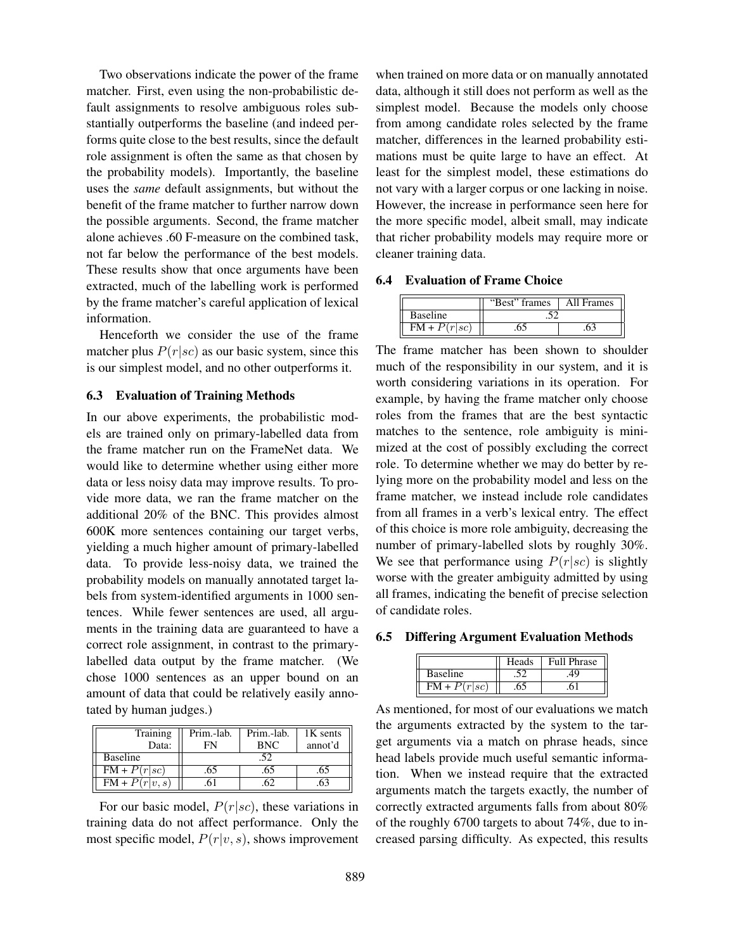Two observations indicate the power of the frame matcher. First, even using the non-probabilistic default assignments to resolve ambiguous roles substantially outperforms the baseline (and indeed performs quite close to the best results, since the default role assignment is often the same as that chosen by the probability models). Importantly, the baseline uses the *same* default assignments, but without the benefit of the frame matcher to further narrow down the possible arguments. Second, the frame matcher alone achieves .60 F-measure on the combined task, not far below the performance of the best models. These results show that once arguments have been extracted, much of the labelling work is performed by the frame matcher's careful application of lexical information.

Henceforth we consider the use of the frame matcher plus  $P(r|sc)$  as our basic system, since this is our simplest model, and no other outperforms it.

## 6.3 Evaluation of Training Methods

In our above experiments, the probabilistic models are trained only on primary-labelled data from the frame matcher run on the FrameNet data. We would like to determine whether using either more data or less noisy data may improve results. To provide more data, we ran the frame matcher on the additional 20% of the BNC. This provides almost 600K more sentences containing our target verbs, yielding a much higher amount of primary-labelled data. To provide less-noisy data, we trained the probability models on manually annotated target labels from system-identified arguments in 1000 sentences. While fewer sentences are used, all arguments in the training data are guaranteed to have a correct role assignment, in contrast to the primarylabelled data output by the frame matcher. (We chose 1000 sentences as an upper bound on an amount of data that could be relatively easily annotated by human judges.)

| Training                   | Prim.-lab. | Prim.-lab. | 1K sents |
|----------------------------|------------|------------|----------|
| Data:                      | FN         | <b>BNC</b> | annot'd  |
| <b>Baseline</b>            |            |            |          |
| $FM + P(r sc)$             |            |            |          |
| $\overline{FM} + P(r v,s)$ |            |            |          |

For our basic model,  $P(r|sc)$ , these variations in training data do not affect performance. Only the most specific model,  $P(r|v, s)$ , shows improvement when trained on more data or on manually annotated data, although it still does not perform as well as the simplest model. Because the models only choose from among candidate roles selected by the frame matcher, differences in the learned probability estimations must be quite large to have an effect. At least for the simplest model, these estimations do not vary with a larger corpus or one lacking in noise. However, the increase in performance seen here for the more specific model, albeit small, may indicate that richer probability models may require more or cleaner training data.

#### 6.4 Evaluation of Frame Choice

|                 | frames | All Frames |
|-----------------|--------|------------|
| <b>Baseline</b> |        |            |
| co.             |        |            |

The frame matcher has been shown to shoulder much of the responsibility in our system, and it is worth considering variations in its operation. For example, by having the frame matcher only choose roles from the frames that are the best syntactic matches to the sentence, role ambiguity is minimized at the cost of possibly excluding the correct role. To determine whether we may do better by relying more on the probability model and less on the frame matcher, we instead include role candidates from all frames in a verb's lexical entry. The effect of this choice is more role ambiguity, decreasing the number of primary-labelled slots by roughly 30%. We see that performance using  $P(r|sc)$  is slightly worse with the greater ambiguity admitted by using all frames, indicating the benefit of precise selection of candidate roles.

6.5 Differing Argument Evaluation Methods

|          | hrase<br>ш |
|----------|------------|
| Baseline |            |
|          |            |

As mentioned, for most of our evaluations we match the arguments extracted by the system to the target arguments via a match on phrase heads, since head labels provide much useful semantic information. When we instead require that the extracted arguments match the targets exactly, the number of correctly extracted arguments falls from about 80% of the roughly 6700 targets to about 74%, due to increased parsing difficulty. As expected, this results